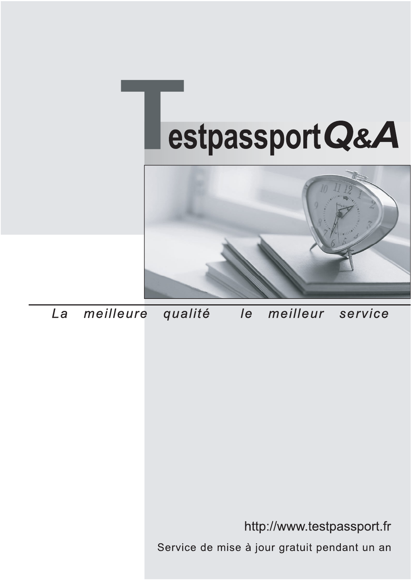



meilleure La qualité  $\overline{e}$ meilleur service

http://www.testpassport.fr

Service de mise à jour gratuit pendant un an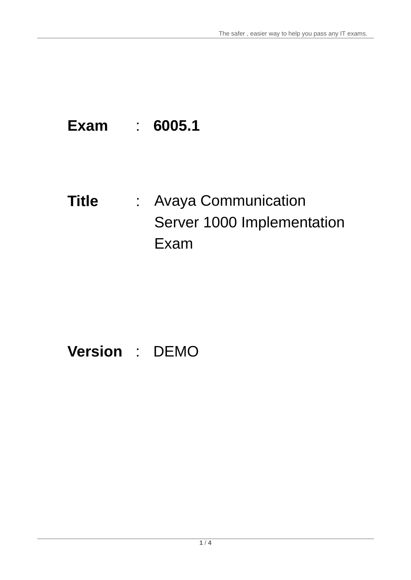# **Exam** : **6005.1**

**Title** : Avaya Communication Server 1000 Implementation Exam

## **Version** : DEMO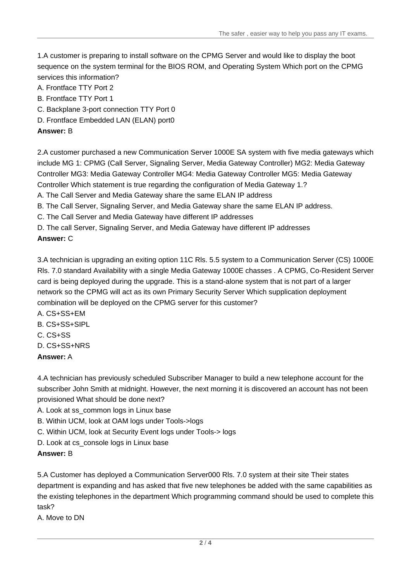1.A customer is preparing to install software on the CPMG Server and would like to display the boot sequence on the system terminal for the BIOS ROM, and Operating System Which port on the CPMG services this information?

- A. Frontface TTY Port 2
- B. Frontface TTY Port 1
- C. Backplane 3-port connection TTY Port 0
- D. Frontface Embedded LAN (ELAN) port0

#### **Answer:** B

2.A customer purchased a new Communication Server 1000E SA system with five media gateways which include MG 1: CPMG (Call Server, Signaling Server, Media Gateway Controller) MG2: Media Gateway Controller MG3: Media Gateway Controller MG4: Media Gateway Controller MG5: Media Gateway Controller Which statement is true regarding the configuration of Media Gateway 1.?

A. The Call Server and Media Gateway share the same ELAN IP address

B. The Call Server, Signaling Server, and Media Gateway share the same ELAN IP address.

- C. The Call Server and Media Gateway have different IP addresses
- D. The call Server, Signaling Server, and Media Gateway have different IP addresses

#### **Answer:** C

3.A technician is upgrading an exiting option 11C Rls. 5.5 system to a Communication Server (CS) 1000E Rls. 7.0 standard Availability with a single Media Gateway 1000E chasses . A CPMG, Co-Resident Server card is being deployed during the upgrade. This is a stand-alone system that is not part of a larger network so the CPMG will act as its own Primary Security Server Which supplication deployment combination will be deployed on the CPMG server for this customer?

- A. CS+SS+EM
- B. CS+SS+SIPL
- C. CS+SS
- D. CS+SS+NRS
- **Answer:** A

4.A technician has previously scheduled Subscriber Manager to build a new telephone account for the subscriber John Smith at midnight. However, the next morning it is discovered an account has not been provisioned What should be done next?

- A. Look at ss\_common logs in Linux base
- B. Within UCM, look at OAM logs under Tools->logs
- C. Within UCM, look at Security Event logs under Tools-> logs
- D. Look at cs\_console logs in Linux base

#### **Answer:** B

5.A Customer has deployed a Communication Server000 Rls. 7.0 system at their site Their states department is expanding and has asked that five new telephones be added with the same capabilities as the existing telephones in the department Which programming command should be used to complete this task?

A. Move to DN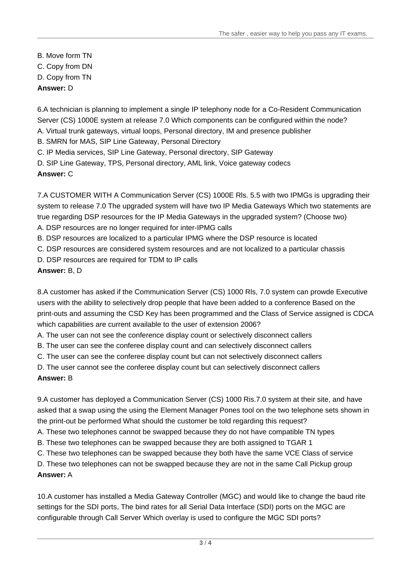B. Move form TN C. Copy from DN D. Copy from TN **Answer:** D

6.A technician is planning to implement a single IP telephony node for a Co-Resident Communication Server (CS) 1000E system at release 7.0 Which components can be configured within the node? A. Virtual trunk gateways, virtual loops, Personal directory, IM and presence publisher

B. SMRN for MAS, SIP Line Gateway, Personal Directory

C. IP Media services, SIP Line Gateway, Personal directory, SIP Gateway

D. SIP Line Gateway, TPS, Personal directory, AML link, Voice gateway codecs

**Answer:** C

7.A CUSTOMER WITH A Communication Server (CS) 1000E Rls. 5.5 with two IPMGs is upgrading their system to release 7.0 The upgraded system will have two IP Media Gateways Which two statements are true regarding DSP resources for the IP Media Gateways in the upgraded system? (Choose two) A. DSP resources are no longer required for inter-IPMG calls

B. DSP resources are localized to a particular IPMG where the DSP resource is located

C. DSP resources are considered system resources and are not localized to a particular chassis

D. DSP resources are required for TDM to IP calls

### **Answer:** B, D

8.A customer has asked if the Communication Server (CS) 1000 Rls, 7.0 system can prowde Executive users with the ability to selectively drop people that have been added to a conference Based on the print-outs and assuming the CSD Key has been programmed and the Class of Service assigned is CDCA which capabilities are current available to the user of extension 2006?

A. The user can not see the conference display count or selectively disconnect callers

B. The user can see the conferee display count and can selectively disconnect callers

C. The user can see the conferee display count but can not selectively disconnect callers

D. The user cannot see the conferee display count but can selectively disconnect callers

#### **Answer:** B

9.A customer has deployed a Communication Server (CS) 1000 Ris.7.0 system at their site, and have asked that a swap using the using the Element Manager Pones tool on the two telephone sets shown in the print-out be performed What should the customer be told regarding this request?

A. These two telephones cannot be swapped because they do not have compatible TN types

B. These two telephones can be swapped because they are both assigned to TGAR 1

C. These two telephones can be swapped because they both have the same VCE Class of service

D. These two telephones can not be swapped because they are not in the same Call Pickup group

#### **Answer:** A

10.A customer has installed a Media Gateway Controller (MGC) and would like to change the baud rite settings for the SDI ports, The bind rates for all Serial Data Interface (SDI) ports on the MGC are configurable through Call Server Which overlay is used to configure the MGC SDI ports?